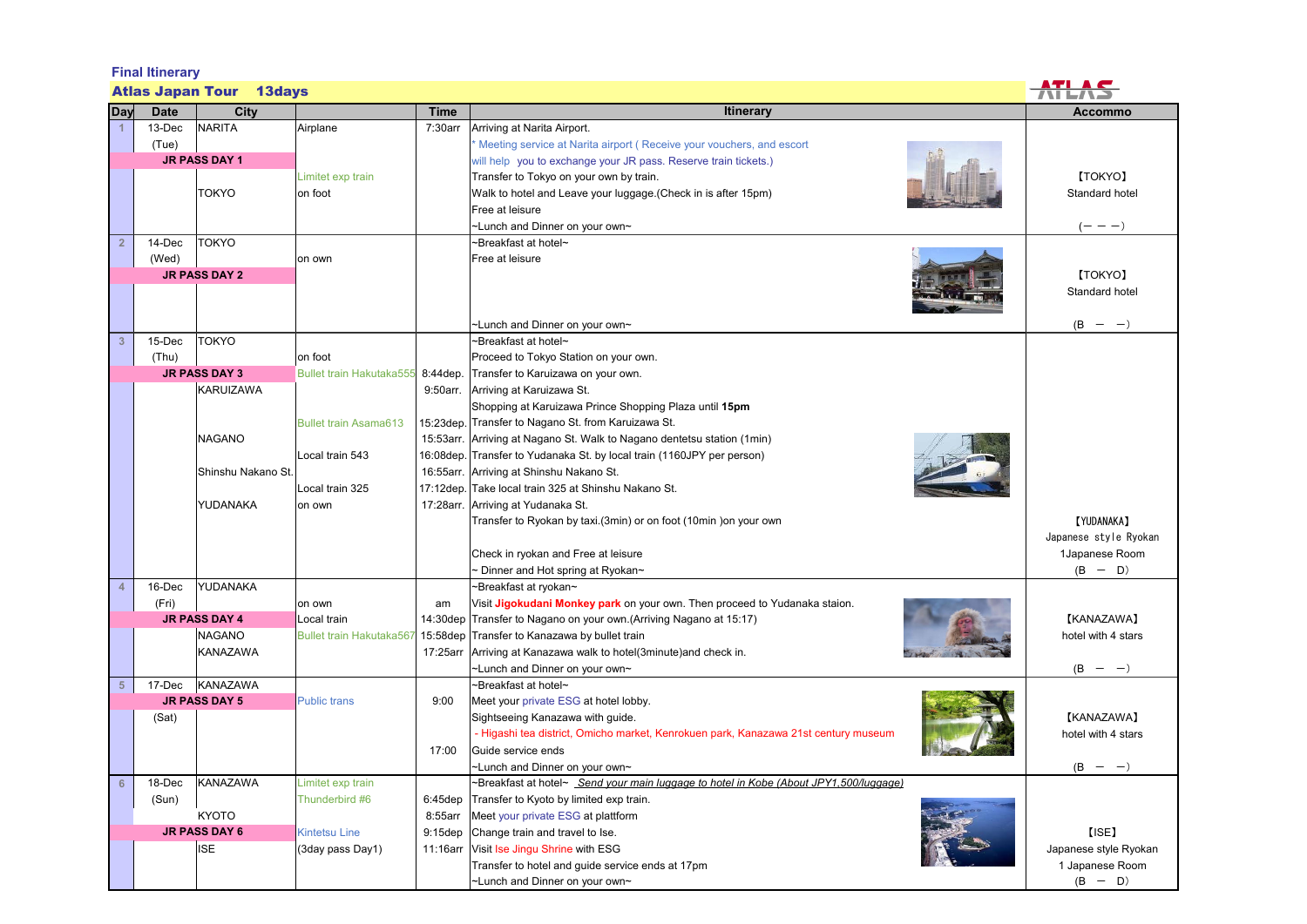| <b>Final Itinerary</b>         |                      |                      |                                   |             |                                                                                       |                       |  |  |  |  |  |
|--------------------------------|----------------------|----------------------|-----------------------------------|-------------|---------------------------------------------------------------------------------------|-----------------------|--|--|--|--|--|
| <b>Atlas Japan Tour 13days</b> |                      |                      |                                   |             |                                                                                       |                       |  |  |  |  |  |
| Day                            | <b>Date</b>          | City                 |                                   | <b>Time</b> | <b>Itinerary</b>                                                                      | <b>Accommo</b>        |  |  |  |  |  |
|                                | 13-Dec               | <b>NARITA</b>        | Airplane                          | 7:30arr     | Arriving at Narita Airport.                                                           |                       |  |  |  |  |  |
|                                | (Tue)                |                      |                                   |             | Meeting service at Narita airport (Receive your vouchers, and escort                  |                       |  |  |  |  |  |
|                                |                      | <b>JR PASS DAY 1</b> |                                   |             | will help you to exchange your JR pass. Reserve train tickets.)                       |                       |  |  |  |  |  |
|                                |                      |                      | Limitet exp train                 |             | Transfer to Tokyo on your own by train.                                               | [TOKYO]               |  |  |  |  |  |
|                                |                      | <b>TOKYO</b>         | on foot                           |             | Walk to hotel and Leave your luggage. (Check in is after 15pm)                        | Standard hotel        |  |  |  |  |  |
|                                |                      |                      |                                   |             | Free at leisure                                                                       |                       |  |  |  |  |  |
|                                |                      |                      |                                   |             | ~Lunch and Dinner on your own~                                                        | $(- - -)$             |  |  |  |  |  |
| $\overline{2}$                 | 14-Dec               | <b>TOKYO</b>         |                                   |             | ~Breakfast at hotel~                                                                  |                       |  |  |  |  |  |
|                                | (Wed)                |                      | on own                            |             | Free at leisure                                                                       |                       |  |  |  |  |  |
|                                | <b>JR PASS DAY 2</b> |                      |                                   |             | <b>[TOKYO]</b>                                                                        |                       |  |  |  |  |  |
|                                |                      |                      |                                   |             |                                                                                       | Standard hotel        |  |  |  |  |  |
|                                |                      |                      |                                   |             |                                                                                       |                       |  |  |  |  |  |
|                                |                      |                      |                                   |             | ~Lunch and Dinner on your own~                                                        | $(B -$<br>$-)$        |  |  |  |  |  |
| $\overline{3}$                 | 15-Dec               | <b>TOKYO</b>         |                                   |             | ∼Breakfast at hotel∼                                                                  |                       |  |  |  |  |  |
|                                | (Thu)                |                      | on foot                           |             | Proceed to Tokyo Station on your own.                                                 |                       |  |  |  |  |  |
|                                |                      | <b>JR PASS DAY 3</b> | Bullet train Hakutaka555 8:44dep. |             | Transfer to Karuizawa on your own.                                                    |                       |  |  |  |  |  |
|                                |                      | <b>KARUIZAWA</b>     |                                   | 9:50arr.    | Arriving at Karuizawa St.                                                             |                       |  |  |  |  |  |
|                                |                      |                      |                                   |             | Shopping at Karuizawa Prince Shopping Plaza until 15pm                                |                       |  |  |  |  |  |
|                                |                      |                      | <b>Bullet train Asama613</b>      |             | 15:23dep. Transfer to Nagano St. from Karuizawa St.                                   |                       |  |  |  |  |  |
|                                |                      | <b>NAGANO</b>        |                                   |             | 15:53arr. Arriving at Nagano St. Walk to Nagano dentetsu station (1min)               |                       |  |  |  |  |  |
|                                |                      |                      | Local train 543                   |             | 16:08dep. Transfer to Yudanaka St. by local train (1160JPY per person)                |                       |  |  |  |  |  |
|                                |                      | Shinshu Nakano St.   |                                   |             | 16:55arr. Arriving at Shinshu Nakano St.                                              |                       |  |  |  |  |  |
|                                |                      |                      | Local train 325                   |             | 17:12dep. Take local train 325 at Shinshu Nakano St.                                  |                       |  |  |  |  |  |
|                                |                      | YUDANAKA             | on own                            | 17:28arr.   | Arriving at Yudanaka St.                                                              |                       |  |  |  |  |  |
|                                |                      |                      |                                   |             | Transfer to Ryokan by taxi.(3min) or on foot (10min) on your own                      | <b>[YUDANAKA]</b>     |  |  |  |  |  |
|                                |                      |                      |                                   |             |                                                                                       | Japanese style Ryokan |  |  |  |  |  |
|                                |                      |                      |                                   |             | Check in ryokan and Free at leisure                                                   | 1Japanese Room        |  |  |  |  |  |
|                                |                      |                      |                                   |             | $\sim$ Dinner and Hot spring at Ryokan $\sim$                                         | $(B - D)$             |  |  |  |  |  |
| 4                              | 16-Dec               | YUDANAKA             |                                   |             | ~Breakfast at ryokan~                                                                 |                       |  |  |  |  |  |
|                                | (Fri)                |                      | on own                            | am          | Visit Jigokudani Monkey park on your own. Then proceed to Yudanaka staion.            |                       |  |  |  |  |  |
|                                |                      | <b>JR PASS DAY 4</b> | Local train                       |             | 14:30dep Transfer to Nagano on your own.(Arriving Nagano at 15:17)                    | [KANAZAWA]            |  |  |  |  |  |
|                                |                      | <b>NAGANO</b>        | Bullet train Hakutaka567          |             | 15:58dep Transfer to Kanazawa by bullet train                                         | hotel with 4 stars    |  |  |  |  |  |
|                                |                      | KANAZAWA             |                                   | 17:25arr    | Arriving at Kanazawa walk to hotel(3minute)and check in.                              |                       |  |  |  |  |  |
|                                |                      |                      |                                   |             | ~Lunch and Dinner on your own~                                                        | $(B - -)$             |  |  |  |  |  |
| $-5$                           | 17-Dec               | <b>KANAZAWA</b>      |                                   |             | ~Breakfast at hotel~                                                                  |                       |  |  |  |  |  |
|                                |                      | <b>JR PASS DAY 5</b> | <b>Public trans</b>               | 9:00        | Meet your private ESG at hotel lobby.                                                 |                       |  |  |  |  |  |
|                                | (Sat)                |                      |                                   |             | Sightseeing Kanazawa with guide.                                                      | [KANAZAWA]            |  |  |  |  |  |
|                                |                      |                      |                                   |             | - Higashi tea district, Omicho market, Kenrokuen park, Kanazawa 21st century museum   | hotel with 4 stars    |  |  |  |  |  |
|                                |                      |                      |                                   | 17:00       | Guide service ends                                                                    |                       |  |  |  |  |  |
|                                |                      |                      |                                   |             | ~Lunch and Dinner on your own~                                                        | $(B - -)$             |  |  |  |  |  |
| $6\phantom{1}6$                | 18-Dec               | KANAZAWA             | Limitet exp train                 |             | ~Breakfast at hotel~ Send your main luggage to hotel in Kobe (About JPY1,500/luggage) |                       |  |  |  |  |  |
|                                | (Sun)                |                      | Thunderbird #6                    | $6:45$ dep  | Transfer to Kyoto by limited exp train.                                               |                       |  |  |  |  |  |
|                                |                      | <b>KYOTO</b>         |                                   | 8:55arr     | Meet your private ESG at plattform                                                    |                       |  |  |  |  |  |
|                                |                      | <b>JR PASS DAY 6</b> | <b>Kintetsu Line</b>              | $9:15$ dep  | Change train and travel to Ise.                                                       | $[$ ISE $]$           |  |  |  |  |  |
|                                |                      | <b>ISE</b>           | (3day pass Day1)                  | 11:16arr    | Visit Ise Jingu Shrine with ESG                                                       | Japanese style Ryokan |  |  |  |  |  |
|                                |                      |                      |                                   |             | Transfer to hotel and guide service ends at 17pm                                      | 1 Japanese Room       |  |  |  |  |  |
|                                |                      |                      |                                   |             | ~Lunch and Dinner on your own~                                                        | $(B - D)$             |  |  |  |  |  |